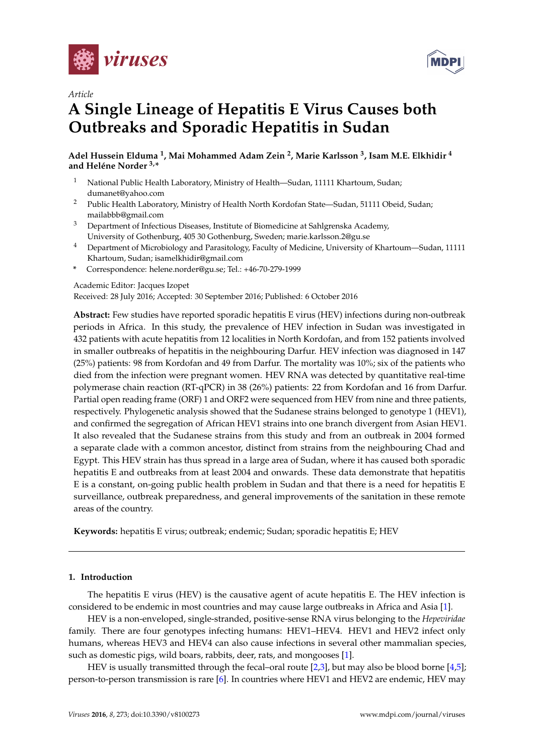



# *Article*

# **A Single Lineage of Hepatitis E Virus Causes both Outbreaks and Sporadic Hepatitis in Sudan**

**Adel Hussein Elduma <sup>1</sup> , Mai Mohammed Adam Zein <sup>2</sup> , Marie Karlsson <sup>3</sup> , Isam M.E. Elkhidir <sup>4</sup> and Heléne Norder 3,\***

- <sup>1</sup> National Public Health Laboratory, Ministry of Health—Sudan, 11111 Khartoum, Sudan; dumanet@yahoo.com
- <sup>2</sup> Public Health Laboratory, Ministry of Health North Kordofan State—Sudan, 51111 Obeid, Sudan; mailabbb@gmail.com
- <sup>3</sup> Department of Infectious Diseases, Institute of Biomedicine at Sahlgrenska Academy, University of Gothenburg, 405 30 Gothenburg, Sweden; marie.karlsson.2@gu.se
- <sup>4</sup> Department of Microbiology and Parasitology, Faculty of Medicine, University of Khartoum—Sudan, 11111 Khartoum, Sudan; isamelkhidir@gmail.com
- **\*** Correspondence: helene.norder@gu.se; Tel.: +46-70-279-1999

Academic Editor: Jacques Izopet

Received: 28 July 2016; Accepted: 30 September 2016; Published: 6 October 2016

**Abstract:** Few studies have reported sporadic hepatitis E virus (HEV) infections during non-outbreak periods in Africa. In this study, the prevalence of HEV infection in Sudan was investigated in 432 patients with acute hepatitis from 12 localities in North Kordofan, and from 152 patients involved in smaller outbreaks of hepatitis in the neighbouring Darfur. HEV infection was diagnosed in 147 (25%) patients: 98 from Kordofan and 49 from Darfur. The mortality was 10%; six of the patients who died from the infection were pregnant women. HEV RNA was detected by quantitative real-time polymerase chain reaction (RT-qPCR) in 38 (26%) patients: 22 from Kordofan and 16 from Darfur. Partial open reading frame (ORF) 1 and ORF2 were sequenced from HEV from nine and three patients, respectively. Phylogenetic analysis showed that the Sudanese strains belonged to genotype 1 (HEV1), and confirmed the segregation of African HEV1 strains into one branch divergent from Asian HEV1. It also revealed that the Sudanese strains from this study and from an outbreak in 2004 formed a separate clade with a common ancestor, distinct from strains from the neighbouring Chad and Egypt. This HEV strain has thus spread in a large area of Sudan, where it has caused both sporadic hepatitis E and outbreaks from at least 2004 and onwards. These data demonstrate that hepatitis E is a constant, on-going public health problem in Sudan and that there is a need for hepatitis E surveillance, outbreak preparedness, and general improvements of the sanitation in these remote areas of the country.

**Keywords:** hepatitis E virus; outbreak; endemic; Sudan; sporadic hepatitis E; HEV

## **1. Introduction**

The hepatitis E virus (HEV) is the causative agent of acute hepatitis E. The HEV infection is considered to be endemic in most countries and may cause large outbreaks in Africa and Asia [\[1\]](#page-10-0).

HEV is a non-enveloped, single-stranded, positive-sense RNA virus belonging to the *Hepeviridae* family. There are four genotypes infecting humans: HEV1–HEV4. HEV1 and HEV2 infect only humans, whereas HEV3 and HEV4 can also cause infections in several other mammalian species, such as domestic pigs, wild boars, rabbits, deer, rats, and mongooses [\[1\]](#page-10-0).

HEV is usually transmitted through the fecal–oral route [\[2,](#page-10-1)[3\]](#page-10-2), but may also be blood borne [\[4](#page-10-3)[,5\]](#page-10-4); person-to-person transmission is rare [\[6\]](#page-10-5). In countries where HEV1 and HEV2 are endemic, HEV may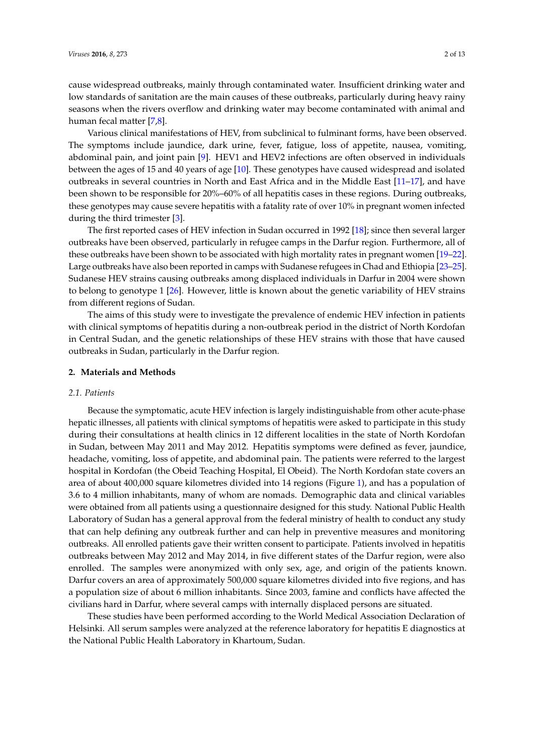cause widespread outbreaks, mainly through contaminated water. Insufficient drinking water and low standards of sanitation are the main causes of these outbreaks, particularly during heavy rainy seasons when the rivers overflow and drinking water may become contaminated with animal and human fecal matter [\[7,](#page-10-6)[8\]](#page-10-7).

Various clinical manifestations of HEV, from subclinical to fulminant forms, have been observed. The symptoms include jaundice, dark urine, fever, fatigue, loss of appetite, nausea, vomiting, abdominal pain, and joint pain [\[9\]](#page-10-8). HEV1 and HEV2 infections are often observed in individuals between the ages of 15 and 40 years of age [\[10\]](#page-10-9). These genotypes have caused widespread and isolated outbreaks in several countries in North and East Africa and in the Middle East [\[11–](#page-10-10)[17\]](#page-11-0), and have been shown to be responsible for 20%–60% of all hepatitis cases in these regions. During outbreaks, these genotypes may cause severe hepatitis with a fatality rate of over 10% in pregnant women infected during the third trimester [\[3\]](#page-10-2).

The first reported cases of HEV infection in Sudan occurred in 1992 [\[18\]](#page-11-1); since then several larger outbreaks have been observed, particularly in refugee camps in the Darfur region. Furthermore, all of these outbreaks have been shown to be associated with high mortality rates in pregnant women [\[19–](#page-11-2)[22\]](#page-11-3). Large outbreaks have also been reported in camps with Sudanese refugees in Chad and Ethiopia [\[23–](#page-11-4)[25\]](#page-11-5). Sudanese HEV strains causing outbreaks among displaced individuals in Darfur in 2004 were shown to belong to genotype 1 [\[26\]](#page-11-6). However, little is known about the genetic variability of HEV strains from different regions of Sudan.

The aims of this study were to investigate the prevalence of endemic HEV infection in patients with clinical symptoms of hepatitis during a non-outbreak period in the district of North Kordofan in Central Sudan, and the genetic relationships of these HEV strains with those that have caused outbreaks in Sudan, particularly in the Darfur region.

#### **2. Materials and Methods**

#### *2.1. Patients*

Because the symptomatic, acute HEV infection is largely indistinguishable from other acute-phase hepatic illnesses, all patients with clinical symptoms of hepatitis were asked to participate in this study during their consultations at health clinics in 12 different localities in the state of North Kordofan in Sudan, between May 2011 and May 2012. Hepatitis symptoms were defined as fever, jaundice, headache, vomiting, loss of appetite, and abdominal pain. The patients were referred to the largest hospital in Kordofan (the Obeid Teaching Hospital, El Obeid). The North Kordofan state covers an area of about 400,000 square kilometres divided into 14 regions (Figure [1\)](#page-2-0), and has a population of 3.6 to 4 million inhabitants, many of whom are nomads. Demographic data and clinical variables were obtained from all patients using a questionnaire designed for this study. National Public Health Laboratory of Sudan has a general approval from the federal ministry of health to conduct any study that can help defining any outbreak further and can help in preventive measures and monitoring outbreaks. All enrolled patients gave their written consent to participate. Patients involved in hepatitis outbreaks between May 2012 and May 2014, in five different states of the Darfur region, were also enrolled. The samples were anonymized with only sex, age, and origin of the patients known. Darfur covers an area of approximately 500,000 square kilometres divided into five regions, and has a population size of about 6 million inhabitants. Since 2003, famine and conflicts have affected the civilians hard in Darfur, where several camps with internally displaced persons are situated.

These studies have been performed according to the World Medical Association Declaration of Helsinki. All serum samples were analyzed at the reference laboratory for hepatitis E diagnostics at the National Public Health Laboratory in Khartoum, Sudan.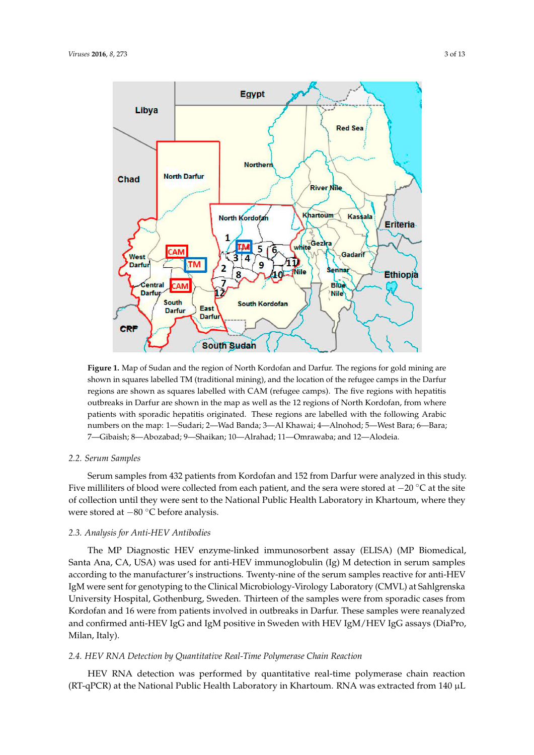<span id="page-2-0"></span>

Figure **1.** Map of Sudan and the region of Cordofan and Darfur. The regions for gold mining, and shown in squares labelled TM (traditional mining), and the location of the refugee camps in the Darfur regions are shown as squares labelled with CAM (refugee camps). The five regions with hepatitis outbreaks in Darfur are shown in the map as well as the 12 regions of North Kordofan, from where patients with sporadic hepatitis originated. These regions are labelled with the following Arabic numbers on the map: 1—Sudari; 2—Wad Banda; 3—Al Khawai; 4—Alnohod; 5—West Bara; 6—Bara; 7—Gibaish; 8—Abozabad; 9—Shaikan; 10—Alrahad; 11—Omrawaba; and 12—Alodeia. 6—Bara; 7—Gibaish; 8—Abozabad; 9—Shaikan; 10—Alrahad; 11—Omrawaba; and 12—Alodeia. **Figure 1.** Map of Sudan and the region of North Kordofan and Darfur. The regions for gold mining are

## *2.2. Serum Samples*

*2.2. Serum Samples* Five milliliters of blood were collected from each patient, and the sera were stored at −20 °C at the site of collection until they were sent to the National Public Health Laboratory in Khartoum, where they were stored at −80 °C before analysis. where they were stored at  $\frac{80}{80}$  before analysis. Serum samples from 432 patients from Kordofan and 152 from Darfur were analyzed in this study.

## *2.3. Analysis for Anti-HEV Antibodies*

*2.3. Analysis for Anti‐HEV Antibodies* Santa Ana, CA, USA) was used for anti-HEV immunoglobulin (Ig) M detection in serum samples according to the manufacturer's instructions. Twenty-nine of the serum samples reactive for anti-HEV IgM were sent for genotyping to the Clinical Microbiology-Virology Laboratory (CMVL) at Sahlgrenska University Hospital, Gothenburg, Sweden. Thirteen of the samples were from sporadic cases from Kordofan and 16 were from patients involved in outbreaks in Darfur. These samples were reanalyzed and confirmed anti-HEV IgG and IgM positive in Sweden with HEV IgM/HEV IgG assays (DiaPro, Samples were realistic were realistic in Sweden and IgH positive in Sweden with HEV is a sweden with HEV in Sweden with HEV is a sweden with HEV in Sweden with HEV is a sweden with HEV is a sweden with HEV is a sweden with The MP Diagnostic HEV enzyme-linked immunosorbent assay (ELISA) (MP Biomedical,

## *2.4. HEV RNA Detection by Quantitative Real-Time Polymerase Chain Reaction*

HEV RNA detection was performed by quantitative real-time polymerase chain reaction (RT-qPCR) at the National Public Health Laboratory in Khartoum. RNA was extracted from 140  $\mu$ L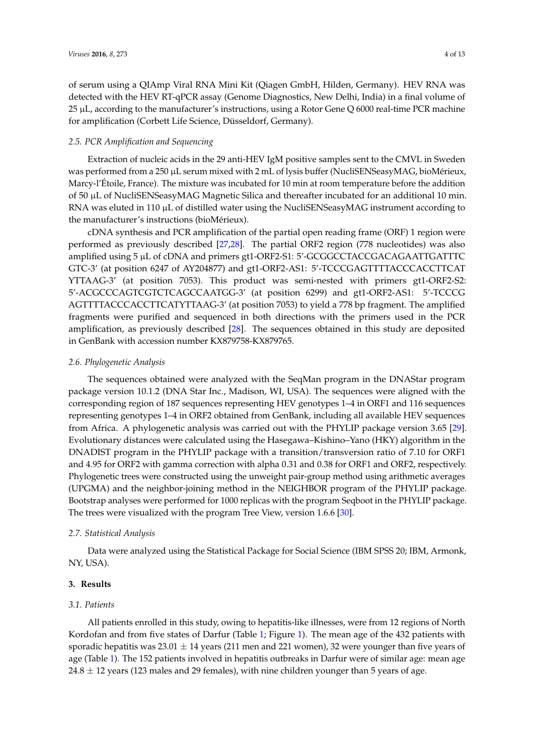of serum using a QIAmp Viral RNA Mini Kit (Qiagen GmbH, Hilden, Germany). HEV RNA was detected with the HEV RT-qPCR assay (Genome Diagnostics, New Delhi, India) in a final volume of  $25 \mu L$ , according to the manufacturer's instructions, using a Rotor Gene Q 6000 real-time PCR machine for amplification (Corbett Life Science, Düsseldorf, Germany).

## *2.5. PCR Amplification and Sequencing*

Extraction of nucleic acids in the 29 anti-HEV IgM positive samples sent to the CMVL in Sweden was performed from a 250 µL serum mixed with 2 mL of lysis buffer (NucliSENSeasyMAG, bioMérieux, Marcy-l'Étoile, France). The mixture was incubated for 10 min at room temperature before the addition of 50 µL of NucliSENSeasyMAG Magnetic Silica and thereafter incubated for an additional 10 min. RNA was eluted in 110 µL of distilled water using the NucliSENSeasyMAG instrument according to the manufacturer's instructions (bioMérieux).

cDNA synthesis and PCR amplification of the partial open reading frame (ORF) 1 region were performed as previously described [\[27,](#page-11-7)[28\]](#page-11-8). The partial ORF2 region (778 nucleotides) was also amplified using 5 µL of cDNA and primers gt1-ORF2-S1: 5'-GCGGCCTACCGACAGAATTGATTTC GTC-3' (at position 6247 of AY204877) and gt1-ORF2-AS1: 5'-TCCCGAGTTTTACCCACCTTCAT YTTAAG-3' (at position 7053). This product was semi-nested with primers gt1-ORF2-S2: 5'-ACGCCCAGTCGTCTCAGCCAATGG-3' (at position 6299) and gt1-ORF2-AS1: 5'-TCCCG AGTTTTACCCACCTTCATYTTAAG-3' (at position 7053) to yield a 778 bp fragment. The amplified fragments were purified and sequenced in both directions with the primers used in the PCR amplification, as previously described [\[28\]](#page-11-8). The sequences obtained in this study are deposited in GenBank with accession number KX879758-KX879765.

# *2.6. Phylogenetic Analysis*

The sequences obtained were analyzed with the SeqMan program in the DNAStar program package version 10.1.2 (DNA Star Inc., Madison, WI, USA). The sequences were aligned with the corresponding region of 187 sequences representing HEV genotypes 1–4 in ORF1 and 116 sequences representing genotypes 1–4 in ORF2 obtained from GenBank, including all available HEV sequences from Africa. A phylogenetic analysis was carried out with the PHYLIP package version 3.65 [\[29\]](#page-11-9). Evolutionary distances were calculated using the Hasegawa–Kishino–Yano (HKY) algorithm in the DNADIST program in the PHYLIP package with a transition/transversion ratio of 7.10 for ORF1 and 4.95 for ORF2 with gamma correction with alpha 0.31 and 0.38 for ORF1 and ORF2, respectively. Phylogenetic trees were constructed using the unweight pair-group method using arithmetic averages (UPGMA) and the neighbor-joining method in the NEIGHBOR program of the PHYLIP package. Bootstrap analyses were performed for 1000 replicas with the program Seqboot in the PHYLIP package. The trees were visualized with the program Tree View, version 1.6.6 [\[30\]](#page-11-10).

## *2.7. Statistical Analysis*

Data were analyzed using the Statistical Package for Social Science (IBM SPSS 20; IBM, Armonk, NY, USA).

## **3. Results**

## *3.1. Patients*

All patients enrolled in this study, owing to hepatitis-like illnesses, were from 12 regions of North Kordofan and from five states of Darfur (Table [1;](#page-4-0) Figure [1\)](#page-2-0). The mean age of the 432 patients with sporadic hepatitis was  $23.01 \pm 14$  years (211 men and 221 women), 32 were younger than five years of age (Table [1\)](#page-4-0). The 152 patients involved in hepatitis outbreaks in Darfur were of similar age: mean age  $24.8 \pm 12$  years (123 males and 29 females), with nine children younger than 5 years of age.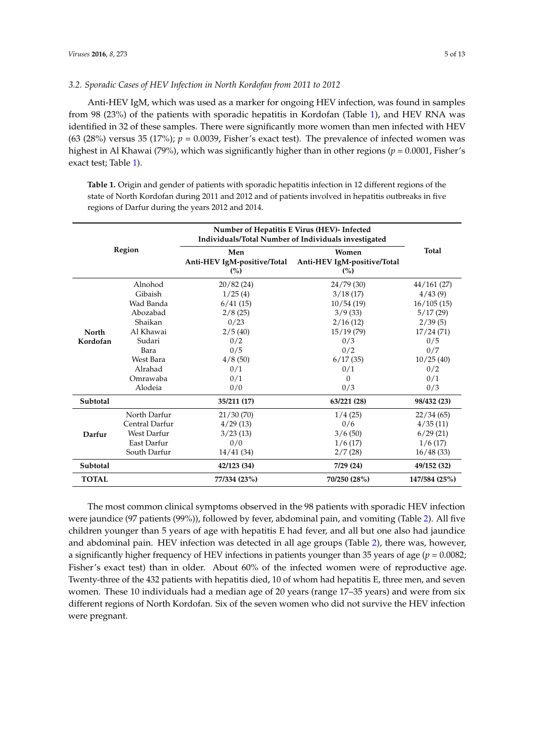## *3.2. Sporadic Cases of HEV Infection in North Kordofan from 2011 to 2012*

Anti-HEV IgM, which was used as a marker for ongoing HEV infection, was found in samples from 98 (23%) of the patients with sporadic hepatitis in Kordofan (Table [1\)](#page-4-0), and HEV RNA was identified in 32 of these samples. There were significantly more women than men infected with HEV (63 (28%) versus 35 (17%);  $p = 0.0039$ , Fisher's exact test). The prevalence of infected women was highest in Al Khawai (79%), which was significantly higher than in other regions (*p* = 0.0001, Fisher's exact test; Table [1\)](#page-4-0).

<span id="page-4-0"></span>**Table 1.** Origin and gender of patients with sporadic hepatitis infection in 12 different regions of the state of North Kordofan during 2011 and 2012 and of patients involved in hepatitis outbreaks in five regions of Darfur during the years 2012 and 2014.

| <b>Region</b> |                    | Number of Hepatitis E Virus (HEV)- Infected<br>Individuals/Total Number of Individuals investigated |                                             |               |
|---------------|--------------------|-----------------------------------------------------------------------------------------------------|---------------------------------------------|---------------|
|               |                    | Men<br>Anti-HEV IgM-positive/Total<br>(%)                                                           | Women<br>Anti-HEV IgM-positive/Total<br>(%) | <b>Total</b>  |
|               | Alnohod            | 20/82(24)                                                                                           | 24/79(30)                                   | 44/161(27)    |
|               | Gibaish            | 1/25(4)                                                                                             | 3/18(17)                                    | 4/43(9)       |
|               | Wad Banda          | 6/41(15)                                                                                            | 10/54(19)                                   | 16/105(15)    |
|               | Abozabad           | 2/8(25)                                                                                             | 3/9(33)                                     | 5/17(29)      |
|               | Shaikan            | 0/23                                                                                                | 2/16(12)                                    |               |
| <b>North</b>  | Al Khawai          | 2/5(40)                                                                                             | 15/19(79)                                   | 17/24(71)     |
| Kordofan      | Sudari             | 0/2                                                                                                 | 0/3                                         | 0/5           |
|               | Bara               | 0/5                                                                                                 | 0/2                                         | 0/7           |
|               | West Bara          | 4/8(50)                                                                                             | 6/17(35)                                    | 10/25(40)     |
|               | Alrahad            | 0/1                                                                                                 | 0/1                                         | 0/2           |
|               | Omrawaba           | 0/1                                                                                                 | $\Omega$                                    | 0/1           |
|               | Alodeia            | 0/0                                                                                                 | 0/3                                         | 0/3           |
| Subtotal      |                    | 35/211 (17)                                                                                         | 63/221 (28)                                 | 98/432 (23)   |
|               | North Darfur       | 21/30(70)                                                                                           | 1/4(25)                                     | 22/34(65)     |
| Darfur        | Central Darfur     | 4/29(13)                                                                                            | 0/6                                         | 4/35(11)      |
|               | <b>West Darfur</b> | 3/23(13)                                                                                            | 3/6(50)                                     | 6/29(21)      |
|               | <b>East Darfur</b> | 0/0                                                                                                 | 1/6(17)                                     | 1/6(17)       |
|               | South Darfur       | 14/41(34)                                                                                           | 2/7(28)                                     | 16/48(33)     |
| Subtotal      |                    | 42/123 (34)                                                                                         | 7/29(24)                                    | 49/152 (32)   |
| <b>TOTAL</b>  |                    | 77/334 (23%)                                                                                        | 70/250 (28%)                                | 147/584 (25%) |

The most common clinical symptoms observed in the 98 patients with sporadic HEV infection were jaundice (97 patients (99%)), followed by fever, abdominal pain, and vomiting (Table [2\)](#page-5-0). All five children younger than 5 years of age with hepatitis E had fever, and all but one also had jaundice and abdominal pain. HEV infection was detected in all age groups (Table [2\)](#page-5-0), there was, however, a significantly higher frequency of HEV infections in patients younger than 35 years of age ( $p = 0.0082$ ); Fisher's exact test) than in older. About 60% of the infected women were of reproductive age. Twenty-three of the 432 patients with hepatitis died, 10 of whom had hepatitis E, three men, and seven women. These 10 individuals had a median age of 20 years (range 17–35 years) and were from six different regions of North Kordofan. Six of the seven women who did not survive the HEV infection were pregnant.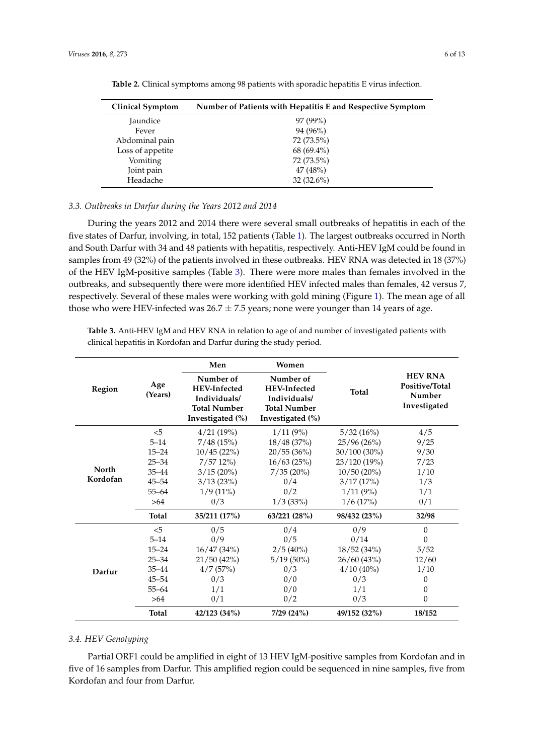<span id="page-5-0"></span>

| <b>Clinical Symptom</b> | Number of Patients with Hepatitis E and Respective Symptom |
|-------------------------|------------------------------------------------------------|
| Jaundice                | 97 (99%)                                                   |
| Fever                   | 94 (96%)                                                   |
| Abdominal pain          | 72 (73.5%)                                                 |
| Loss of appetite        | 68 (69.4%)                                                 |
| Vomiting                | 72 (73.5%)                                                 |
| Joint pain              | 47(48%)                                                    |
| Headache                | $32(32.6\%)$                                               |

**Table 2.** Clinical symptoms among 98 patients with sporadic hepatitis E virus infection.

## *3.3. Outbreaks in Darfur during the Years 2012 and 2014*

During the years 2012 and 2014 there were several small outbreaks of hepatitis in each of the five states of Darfur, involving, in total, 152 patients (Table [1\)](#page-4-0). The largest outbreaks occurred in North and South Darfur with 34 and 48 patients with hepatitis, respectively. Anti-HEV IgM could be found in samples from 49 (32%) of the patients involved in these outbreaks. HEV RNA was detected in 18 (37%) of the HEV IgM-positive samples (Table [3\)](#page-5-1). There were more males than females involved in the outbreaks, and subsequently there were more identified HEV infected males than females, 42 versus 7, respectively. Several of these males were working with gold mining (Figure [1\)](#page-2-0). The mean age of all those who were HEV-infected was  $26.7 \pm 7.5$  years; none were younger than 14 years of age.

<span id="page-5-1"></span>**Table 3.** Anti-HEV IgM and HEV RNA in relation to age of and number of investigated patients with clinical hepatitis in Kordofan and Darfur during the study period.

|              | Age<br>(Years) | Men                                                                                         | Women                                                                                       |                | <b>HEV RNA</b><br>Positive/Total<br>Number<br>Investigated |
|--------------|----------------|---------------------------------------------------------------------------------------------|---------------------------------------------------------------------------------------------|----------------|------------------------------------------------------------|
| Region       |                | Number of<br><b>HEV-Infected</b><br>Individuals/<br><b>Total Number</b><br>Investigated (%) | Number of<br><b>HEV-Infected</b><br>Individuals/<br><b>Total Number</b><br>Investigated (%) | <b>Total</b>   |                                                            |
|              | $<$ 5          | 4/21(19%)                                                                                   | $1/11(9\%)$                                                                                 | 5/32(16%)      | 4/5                                                        |
|              | $5 - 14$       | 7/48(15%)                                                                                   | 18/48(37%)                                                                                  | 25/96(26%)     | 9/25                                                       |
|              | $15 - 24$      | 10/45(22%)                                                                                  | 20/55(36%)                                                                                  | $30/100(30\%)$ | 9/30                                                       |
|              | $25 - 34$      | 7/5712%                                                                                     | 16/63(25%)                                                                                  | 23/120(19%)    | 7/23                                                       |
| <b>North</b> | $35 - 44$      | $3/15(20\%)$                                                                                | 7/35(20%)                                                                                   | 10/50(20%)     | 1/10                                                       |
| Kordofan     | $45 - 54$      | 3/13(23%)                                                                                   | 0/4                                                                                         | 3/17(17%)      | 1/3                                                        |
|              | $55 - 64$      | $1/9(11\%)$                                                                                 | 0/2                                                                                         | 1/11(9%)       | 1/1                                                        |
|              | >64            | 0/3                                                                                         | $1/3$ (33%)                                                                                 | 1/6(17%)       | 0/1                                                        |
|              | <b>Total</b>   | 35/211 (17%)                                                                                | 63/221 (28%)                                                                                | 98/432 (23%)   | 32/98                                                      |
|              | $\leq$         | 0/5                                                                                         | 0/4                                                                                         | 0/9            | $\theta$                                                   |
|              | $5 - 14$       | 0/9                                                                                         | 0/5                                                                                         | 0/14           | $\theta$                                                   |
|              | $15 - 24$      | 16/47(34%)                                                                                  | $2/5(40\%)$                                                                                 | 18/52(34%)     | 5/52                                                       |
|              | $25 - 34$      | 21/50(42%)                                                                                  | $5/19(50\%)$                                                                                | 26/60(43%)     | 12/60                                                      |
| Darfur       | $35 - 44$      | 4/7(57%)                                                                                    | 0/3                                                                                         | $4/10(40\%)$   | 1/10                                                       |
|              | $45 - 54$      | 0/3                                                                                         | 0/0                                                                                         | 0/3            | 0                                                          |
|              | $55 - 64$      | 1/1                                                                                         | 0/0                                                                                         | 1/1            | $\theta$                                                   |
|              | >64            | 0/1                                                                                         | 0/2                                                                                         | 0/3            | $\theta$                                                   |
|              | <b>Total</b>   | 42/123 (34%)                                                                                | 7/29 (24%)                                                                                  | 49/152 (32%)   | 18/152                                                     |

#### *3.4. HEV Genotyping*

Partial ORF1 could be amplified in eight of 13 HEV IgM-positive samples from Kordofan and in five of 16 samples from Darfur. This amplified region could be sequenced in nine samples, five from Kordofan and four from Darfur.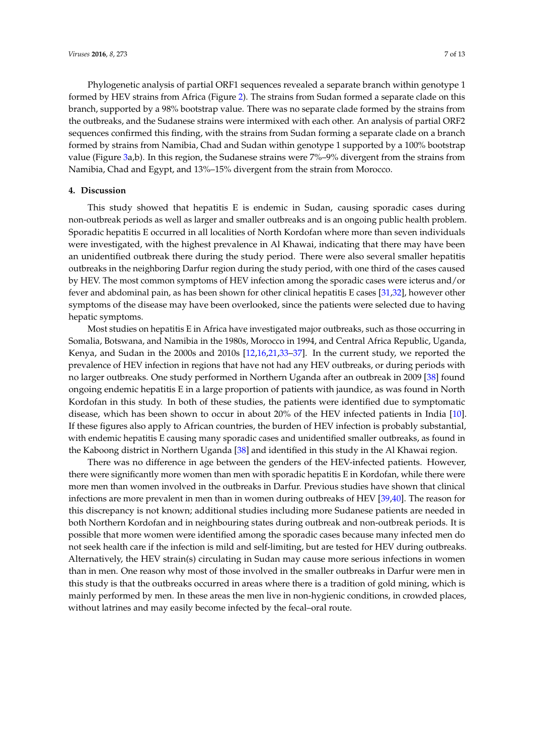Phylogenetic analysis of partial ORF1 sequences revealed a separate branch within genotype 1 formed by HEV strains from Africa (Figure [2\)](#page-7-0). The strains from Sudan formed a separate clade on this branch, supported by a 98% bootstrap value. There was no separate clade formed by the strains from the outbreaks, and the Sudanese strains were intermixed with each other. An analysis of partial ORF2 sequences confirmed this finding, with the strains from Sudan forming a separate clade on a branch formed by strains from Namibia, Chad and Sudan within genotype 1 supported by a 100% bootstrap value (Figure [3a](#page-8-0),b). In this region, the Sudanese strains were 7%–9% divergent from the strains from Namibia, Chad and Egypt, and 13%–15% divergent from the strain from Morocco.

## **4. Discussion**

This study showed that hepatitis E is endemic in Sudan, causing sporadic cases during non-outbreak periods as well as larger and smaller outbreaks and is an ongoing public health problem. Sporadic hepatitis E occurred in all localities of North Kordofan where more than seven individuals were investigated, with the highest prevalence in Al Khawai, indicating that there may have been an unidentified outbreak there during the study period. There were also several smaller hepatitis outbreaks in the neighboring Darfur region during the study period, with one third of the cases caused by HEV. The most common symptoms of HEV infection among the sporadic cases were icterus and/or fever and abdominal pain, as has been shown for other clinical hepatitis E cases [\[31](#page-11-11)[,32\]](#page-11-12), however other symptoms of the disease may have been overlooked, since the patients were selected due to having hepatic symptoms.

Most studies on hepatitis E in Africa have investigated major outbreaks, such as those occurring in Somalia, Botswana, and Namibia in the 1980s, Morocco in 1994, and Central Africa Republic, Uganda, Kenya, and Sudan in the 2000s and 2010s [\[12](#page-11-13)[,16,](#page-11-14)[21](#page-11-15)[,33–](#page-12-0)[37\]](#page-12-1). In the current study, we reported the prevalence of HEV infection in regions that have not had any HEV outbreaks, or during periods with no larger outbreaks. One study performed in Northern Uganda after an outbreak in 2009 [\[38\]](#page-12-2) found ongoing endemic hepatitis E in a large proportion of patients with jaundice, as was found in North Kordofan in this study. In both of these studies, the patients were identified due to symptomatic disease, which has been shown to occur in about 20% of the HEV infected patients in India [\[10\]](#page-10-9). If these figures also apply to African countries, the burden of HEV infection is probably substantial, with endemic hepatitis E causing many sporadic cases and unidentified smaller outbreaks, as found in the Kaboong district in Northern Uganda [\[38\]](#page-12-2) and identified in this study in the Al Khawai region.

There was no difference in age between the genders of the HEV-infected patients. However, there were significantly more women than men with sporadic hepatitis E in Kordofan, while there were more men than women involved in the outbreaks in Darfur. Previous studies have shown that clinical infections are more prevalent in men than in women during outbreaks of HEV [\[39,](#page-12-3)[40\]](#page-12-4). The reason for this discrepancy is not known; additional studies including more Sudanese patients are needed in both Northern Kordofan and in neighbouring states during outbreak and non-outbreak periods. It is possible that more women were identified among the sporadic cases because many infected men do not seek health care if the infection is mild and self-limiting, but are tested for HEV during outbreaks. Alternatively, the HEV strain(s) circulating in Sudan may cause more serious infections in women than in men. One reason why most of those involved in the smaller outbreaks in Darfur were men in this study is that the outbreaks occurred in areas where there is a tradition of gold mining, which is mainly performed by men. In these areas the men live in non-hygienic conditions, in crowded places, without latrines and may easily become infected by the fecal–oral route.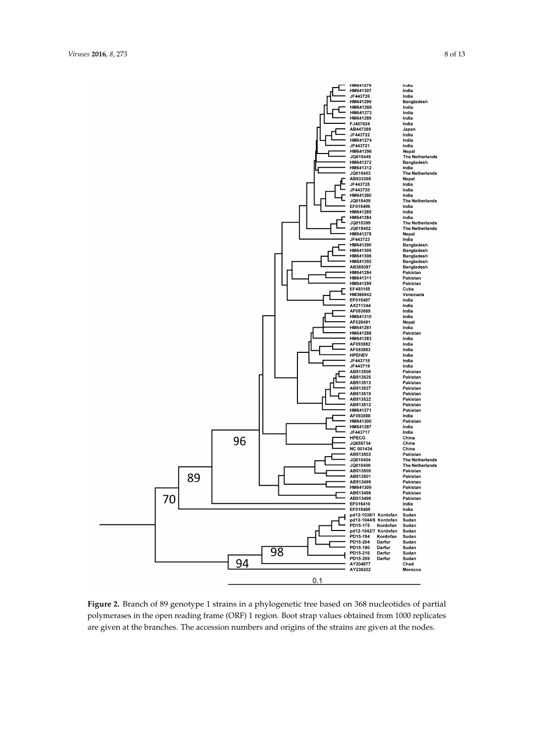<span id="page-7-0"></span>

**Figure 2.** Branch of 89 genotype 1 strains in a phylogenetic tree based on 368 nucleotides of partial polymerases in the open reading frame (ORF) 1 region. Boot strap values obtained from 1000 replicates are given at the branches. The accession numbers and origins of the strains are given at the nodes.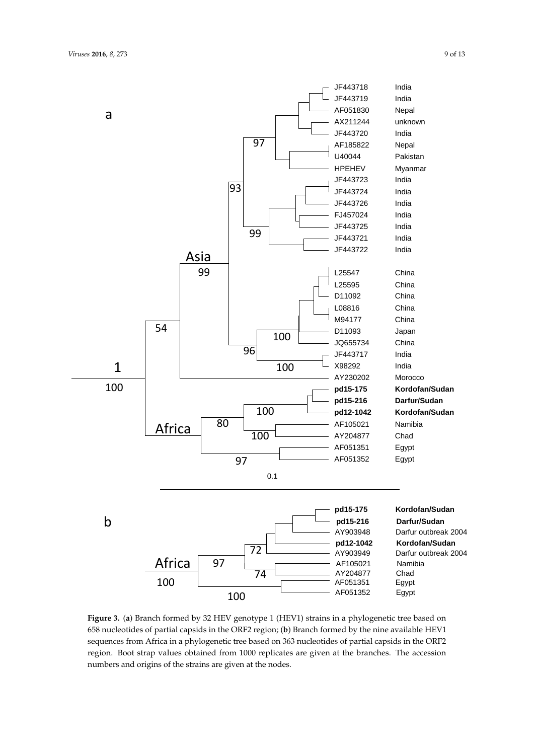<span id="page-8-0"></span>

**Figure 3.** (**a**) Branch formed by 32 HEV genotype 1 (HEV1) strains in a phylogenetic tree based on 658 nucleotides of partial capsids in the ORF2 region; (**b**) Branch formed by the nine available HEV1 sequences from Africa in a phylogenetic tree based on 363 nucleotides of partial capsids in the ORF2 region. Boot strap values obtained from 1000 replicates are given at the branches. The accession numbers and origins of the strains are given at the nodes.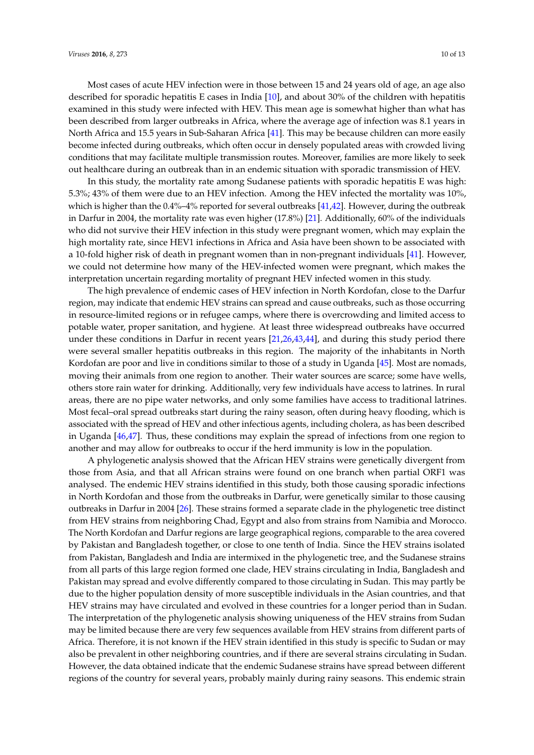Most cases of acute HEV infection were in those between 15 and 24 years old of age, an age also described for sporadic hepatitis E cases in India [\[10\]](#page-10-9), and about 30% of the children with hepatitis examined in this study were infected with HEV. This mean age is somewhat higher than what has been described from larger outbreaks in Africa, where the average age of infection was 8.1 years in North Africa and 15.5 years in Sub-Saharan Africa [\[41\]](#page-12-5). This may be because children can more easily become infected during outbreaks, which often occur in densely populated areas with crowded living conditions that may facilitate multiple transmission routes. Moreover, families are more likely to seek out healthcare during an outbreak than in an endemic situation with sporadic transmission of HEV.

In this study, the mortality rate among Sudanese patients with sporadic hepatitis E was high: 5.3%; 43% of them were due to an HEV infection. Among the HEV infected the mortality was 10%, which is higher than the 0.4%–4% reported for several outbreaks [\[41,](#page-12-5)[42\]](#page-12-6). However, during the outbreak in Darfur in 2004, the mortality rate was even higher (17.8%) [\[21\]](#page-11-15). Additionally, 60% of the individuals who did not survive their HEV infection in this study were pregnant women, which may explain the high mortality rate, since HEV1 infections in Africa and Asia have been shown to be associated with a 10-fold higher risk of death in pregnant women than in non-pregnant individuals [\[41\]](#page-12-5). However, we could not determine how many of the HEV-infected women were pregnant, which makes the interpretation uncertain regarding mortality of pregnant HEV infected women in this study.

The high prevalence of endemic cases of HEV infection in North Kordofan, close to the Darfur region, may indicate that endemic HEV strains can spread and cause outbreaks, such as those occurring in resource-limited regions or in refugee camps, where there is overcrowding and limited access to potable water, proper sanitation, and hygiene. At least three widespread outbreaks have occurred under these conditions in Darfur in recent years [\[21](#page-11-15)[,26](#page-11-6)[,43](#page-12-7)[,44\]](#page-12-8), and during this study period there were several smaller hepatitis outbreaks in this region. The majority of the inhabitants in North Kordofan are poor and live in conditions similar to those of a study in Uganda [\[45\]](#page-12-9). Most are nomads, moving their animals from one region to another. Their water sources are scarce; some have wells, others store rain water for drinking. Additionally, very few individuals have access to latrines. In rural areas, there are no pipe water networks, and only some families have access to traditional latrines. Most fecal–oral spread outbreaks start during the rainy season, often during heavy flooding, which is associated with the spread of HEV and other infectious agents, including cholera, as has been described in Uganda [\[46](#page-12-10)[,47\]](#page-12-11). Thus, these conditions may explain the spread of infections from one region to another and may allow for outbreaks to occur if the herd immunity is low in the population.

A phylogenetic analysis showed that the African HEV strains were genetically divergent from those from Asia, and that all African strains were found on one branch when partial ORF1 was analysed. The endemic HEV strains identified in this study, both those causing sporadic infections in North Kordofan and those from the outbreaks in Darfur, were genetically similar to those causing outbreaks in Darfur in 2004 [\[26\]](#page-11-6). These strains formed a separate clade in the phylogenetic tree distinct from HEV strains from neighboring Chad, Egypt and also from strains from Namibia and Morocco. The North Kordofan and Darfur regions are large geographical regions, comparable to the area covered by Pakistan and Bangladesh together, or close to one tenth of India. Since the HEV strains isolated from Pakistan, Bangladesh and India are intermixed in the phylogenetic tree, and the Sudanese strains from all parts of this large region formed one clade, HEV strains circulating in India, Bangladesh and Pakistan may spread and evolve differently compared to those circulating in Sudan. This may partly be due to the higher population density of more susceptible individuals in the Asian countries, and that HEV strains may have circulated and evolved in these countries for a longer period than in Sudan. The interpretation of the phylogenetic analysis showing uniqueness of the HEV strains from Sudan may be limited because there are very few sequences available from HEV strains from different parts of Africa. Therefore, it is not known if the HEV strain identified in this study is specific to Sudan or may also be prevalent in other neighboring countries, and if there are several strains circulating in Sudan. However, the data obtained indicate that the endemic Sudanese strains have spread between different regions of the country for several years, probably mainly during rainy seasons. This endemic strain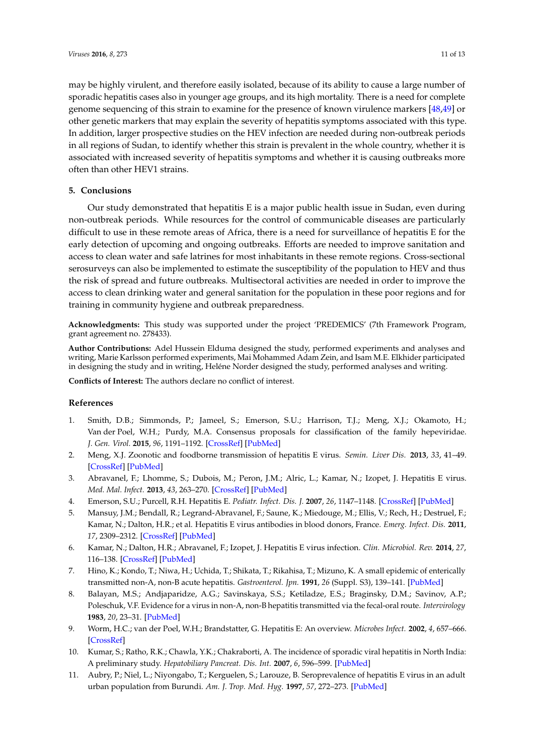may be highly virulent, and therefore easily isolated, because of its ability to cause a large number of sporadic hepatitis cases also in younger age groups, and its high mortality. There is a need for complete genome sequencing of this strain to examine for the presence of known virulence markers [\[48,](#page-12-12)[49\]](#page-12-13) or other genetic markers that may explain the severity of hepatitis symptoms associated with this type. In addition, larger prospective studies on the HEV infection are needed during non-outbreak periods in all regions of Sudan, to identify whether this strain is prevalent in the whole country, whether it is associated with increased severity of hepatitis symptoms and whether it is causing outbreaks more often than other HEV1 strains.

## **5. Conclusions**

Our study demonstrated that hepatitis E is a major public health issue in Sudan, even during non-outbreak periods. While resources for the control of communicable diseases are particularly difficult to use in these remote areas of Africa, there is a need for surveillance of hepatitis E for the early detection of upcoming and ongoing outbreaks. Efforts are needed to improve sanitation and access to clean water and safe latrines for most inhabitants in these remote regions. Cross-sectional serosurveys can also be implemented to estimate the susceptibility of the population to HEV and thus the risk of spread and future outbreaks. Multisectoral activities are needed in order to improve the access to clean drinking water and general sanitation for the population in these poor regions and for training in community hygiene and outbreak preparedness.

**Acknowledgments:** This study was supported under the project 'PREDEMICS' (7th Framework Program, grant agreement no. 278433).

**Author Contributions:** Adel Hussein Elduma designed the study, performed experiments and analyses and writing, Marie Karlsson performed experiments, Mai Mohammed Adam Zein, and Isam M.E. Elkhider participated in designing the study and in writing, Heléne Norder designed the study, performed analyses and writing.

**Conflicts of Interest:** The authors declare no conflict of interest.

#### **References**

- <span id="page-10-0"></span>1. Smith, D.B.; Simmonds, P.; Jameel, S.; Emerson, S.U.; Harrison, T.J.; Meng, X.J.; Okamoto, H.; Van der Poel, W.H.; Purdy, M.A. Consensus proposals for classification of the family hepeviridae. *J. Gen. Virol.* **2015**, *96*, 1191–1192. [\[CrossRef\]](http://dx.doi.org/10.1099/vir.0.000115) [\[PubMed\]](http://www.ncbi.nlm.nih.gov/pubmed/26015322)
- <span id="page-10-1"></span>2. Meng, X.J. Zoonotic and foodborne transmission of hepatitis E virus. *Semin. Liver Dis.* **2013**, *33*, 41–49. [\[CrossRef\]](http://dx.doi.org/10.1055/s-0033-1338113) [\[PubMed\]](http://www.ncbi.nlm.nih.gov/pubmed/23564388)
- <span id="page-10-2"></span>3. Abravanel, F.; Lhomme, S.; Dubois, M.; Peron, J.M.; Alric, L.; Kamar, N.; Izopet, J. Hepatitis E virus. *Med. Mal. Infect.* **2013**, *43*, 263–270. [\[CrossRef\]](http://dx.doi.org/10.1016/j.medmal.2013.03.005) [\[PubMed\]](http://www.ncbi.nlm.nih.gov/pubmed/23608595)
- <span id="page-10-3"></span>4. Emerson, S.U.; Purcell, R.H. Hepatitis E. *Pediatr. Infect. Dis. J.* **2007**, *26*, 1147–1148. [\[CrossRef\]](http://dx.doi.org/10.1097/INF.0b013e31815dd7c2) [\[PubMed\]](http://www.ncbi.nlm.nih.gov/pubmed/18043454)
- <span id="page-10-4"></span>5. Mansuy, J.M.; Bendall, R.; Legrand-Abravanel, F.; Saune, K.; Miedouge, M.; Ellis, V.; Rech, H.; Destruel, F.; Kamar, N.; Dalton, H.R.; et al. Hepatitis E virus antibodies in blood donors, France. *Emerg. Infect. Dis.* **2011**, *17*, 2309–2312. [\[CrossRef\]](http://dx.doi.org/10.3201/eid1712.110371) [\[PubMed\]](http://www.ncbi.nlm.nih.gov/pubmed/22172156)
- <span id="page-10-5"></span>6. Kamar, N.; Dalton, H.R.; Abravanel, F.; Izopet, J. Hepatitis E virus infection. *Clin. Microbiol. Rev.* **2014**, *27*, 116–138. [\[CrossRef\]](http://dx.doi.org/10.1128/CMR.00057-13) [\[PubMed\]](http://www.ncbi.nlm.nih.gov/pubmed/24396139)
- <span id="page-10-6"></span>7. Hino, K.; Kondo, T.; Niwa, H.; Uchida, T.; Shikata, T.; Rikahisa, T.; Mizuno, K. A small epidemic of enterically transmitted non-A, non-B acute hepatitis. *Gastroenterol. Jpn.* **1991**, *26* (Suppl. S3), 139–141. [\[PubMed\]](http://www.ncbi.nlm.nih.gov/pubmed/1909253)
- <span id="page-10-7"></span>8. Balayan, M.S.; Andjaparidze, A.G.; Savinskaya, S.S.; Ketiladze, E.S.; Braginsky, D.M.; Savinov, A.P.; Poleschuk, V.F. Evidence for a virus in non-A, non-B hepatitis transmitted via the fecal-oral route. *Intervirology* **1983**, *20*, 23–31. [\[PubMed\]](http://www.ncbi.nlm.nih.gov/pubmed/6409836)
- <span id="page-10-8"></span>9. Worm, H.C.; van der Poel, W.H.; Brandstatter, G. Hepatitis E: An overview. *Microbes Infect.* **2002**, *4*, 657–666. [\[CrossRef\]](http://dx.doi.org/10.1016/S1286-4579(02)01584-8)
- <span id="page-10-9"></span>10. Kumar, S.; Ratho, R.K.; Chawla, Y.K.; Chakraborti, A. The incidence of sporadic viral hepatitis in North India: A preliminary study. *Hepatobiliary Pancreat. Dis. Int.* **2007**, *6*, 596–599. [\[PubMed\]](http://www.ncbi.nlm.nih.gov/pubmed/18086624)
- <span id="page-10-10"></span>11. Aubry, P.; Niel, L.; Niyongabo, T.; Kerguelen, S.; Larouze, B. Seroprevalence of hepatitis E virus in an adult urban population from Burundi. *Am. J. Trop. Med. Hyg.* **1997**, *57*, 272–273. [\[PubMed\]](http://www.ncbi.nlm.nih.gov/pubmed/9311635)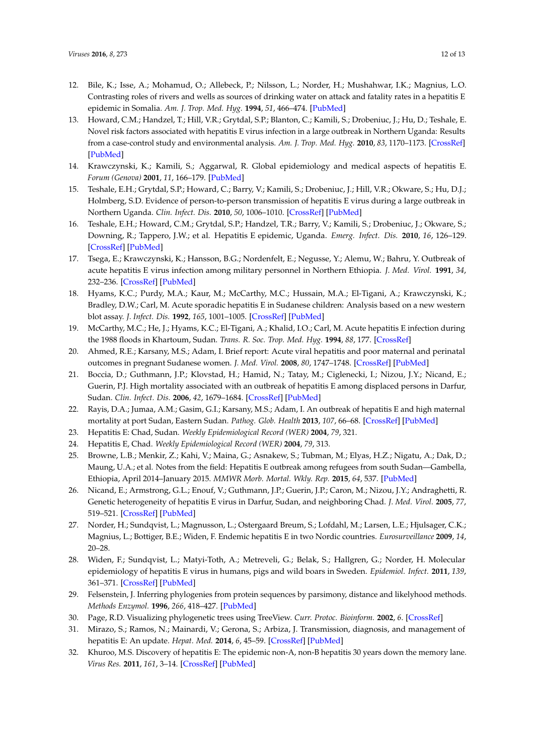- <span id="page-11-13"></span>12. Bile, K.; Isse, A.; Mohamud, O.; Allebeck, P.; Nilsson, L.; Norder, H.; Mushahwar, I.K.; Magnius, L.O. Contrasting roles of rivers and wells as sources of drinking water on attack and fatality rates in a hepatitis E epidemic in Somalia. *Am. J. Trop. Med. Hyg.* **1994**, *51*, 466–474. [\[PubMed\]](http://www.ncbi.nlm.nih.gov/pubmed/7943574)
- 13. Howard, C.M.; Handzel, T.; Hill, V.R.; Grytdal, S.P.; Blanton, C.; Kamili, S.; Drobeniuc, J.; Hu, D.; Teshale, E. Novel risk factors associated with hepatitis E virus infection in a large outbreak in Northern Uganda: Results from a case-control study and environmental analysis. *Am. J. Trop. Med. Hyg.* **2010**, *83*, 1170–1173. [\[CrossRef\]](http://dx.doi.org/10.4269/ajtmh.2010.10-0384) [\[PubMed\]](http://www.ncbi.nlm.nih.gov/pubmed/21036857)
- 14. Krawczynski, K.; Kamili, S.; Aggarwal, R. Global epidemiology and medical aspects of hepatitis E. *Forum (Genova)* **2001**, *11*, 166–179. [\[PubMed\]](http://www.ncbi.nlm.nih.gov/pubmed/11948361)
- 15. Teshale, E.H.; Grytdal, S.P.; Howard, C.; Barry, V.; Kamili, S.; Drobeniuc, J.; Hill, V.R.; Okware, S.; Hu, D.J.; Holmberg, S.D. Evidence of person-to-person transmission of hepatitis E virus during a large outbreak in Northern Uganda. *Clin. Infect. Dis.* **2010**, *50*, 1006–1010. [\[CrossRef\]](http://dx.doi.org/10.1086/651077) [\[PubMed\]](http://www.ncbi.nlm.nih.gov/pubmed/20178415)
- <span id="page-11-14"></span>16. Teshale, E.H.; Howard, C.M.; Grytdal, S.P.; Handzel, T.R.; Barry, V.; Kamili, S.; Drobeniuc, J.; Okware, S.; Downing, R.; Tappero, J.W.; et al. Hepatitis E epidemic, Uganda. *Emerg. Infect. Dis.* **2010**, *16*, 126–129. [\[CrossRef\]](http://dx.doi.org/10.3201/eid1601.090764) [\[PubMed\]](http://www.ncbi.nlm.nih.gov/pubmed/20031058)
- <span id="page-11-0"></span>17. Tsega, E.; Krawczynski, K.; Hansson, B.G.; Nordenfelt, E.; Negusse, Y.; Alemu, W.; Bahru, Y. Outbreak of acute hepatitis E virus infection among military personnel in Northern Ethiopia. *J. Med. Virol.* **1991**, *34*, 232–236. [\[CrossRef\]](http://dx.doi.org/10.1002/jmv.1890340407) [\[PubMed\]](http://www.ncbi.nlm.nih.gov/pubmed/1940876)
- <span id="page-11-1"></span>18. Hyams, K.C.; Purdy, M.A.; Kaur, M.; McCarthy, M.C.; Hussain, M.A.; El-Tigani, A.; Krawczynski, K.; Bradley, D.W.; Carl, M. Acute sporadic hepatitis E in Sudanese children: Analysis based on a new western blot assay. *J. Infect. Dis.* **1992**, *165*, 1001–1005. [\[CrossRef\]](http://dx.doi.org/10.1093/infdis/165.6.1001) [\[PubMed\]](http://www.ncbi.nlm.nih.gov/pubmed/1583317)
- <span id="page-11-2"></span>19. McCarthy, M.C.; He, J.; Hyams, K.C.; El-Tigani, A.; Khalid, I.O.; Carl, M. Acute hepatitis E infection during the 1988 floods in Khartoum, Sudan. *Trans. R. Soc. Trop. Med. Hyg.* **1994**, *88*, 177. [\[CrossRef\]](http://dx.doi.org/10.1016/0035-9203(94)90284-4)
- 20. Ahmed, R.E.; Karsany, M.S.; Adam, I. Brief report: Acute viral hepatitis and poor maternal and perinatal outcomes in pregnant Sudanese women. *J. Med. Virol.* **2008**, *80*, 1747–1748. [\[CrossRef\]](http://dx.doi.org/10.1002/jmv.21284) [\[PubMed\]](http://www.ncbi.nlm.nih.gov/pubmed/18712815)
- <span id="page-11-15"></span>21. Boccia, D.; Guthmann, J.P.; Klovstad, H.; Hamid, N.; Tatay, M.; Ciglenecki, I.; Nizou, J.Y.; Nicand, E.; Guerin, P.J. High mortality associated with an outbreak of hepatitis E among displaced persons in Darfur, Sudan. *Clin. Infect. Dis.* **2006**, *42*, 1679–1684. [\[CrossRef\]](http://dx.doi.org/10.1086/504322) [\[PubMed\]](http://www.ncbi.nlm.nih.gov/pubmed/16705571)
- <span id="page-11-3"></span>22. Rayis, D.A.; Jumaa, A.M.; Gasim, G.I.; Karsany, M.S.; Adam, I. An outbreak of hepatitis E and high maternal mortality at port Sudan, Eastern Sudan. *Pathog. Glob. Health* **2013**, *107*, 66–68. [\[CrossRef\]](http://dx.doi.org/10.1179/2047773213Y.0000000076) [\[PubMed\]](http://www.ncbi.nlm.nih.gov/pubmed/23683332)
- <span id="page-11-4"></span>23. Hepatitis E: Chad, Sudan. *Weekly Epidemiological Record (WER)* **2004**, *79*, 321.
- 24. Hepatitis E, Chad. *Weekly Epidemiological Record (WER)* **2004**, *79*, 313.
- <span id="page-11-5"></span>25. Browne, L.B.; Menkir, Z.; Kahi, V.; Maina, G.; Asnakew, S.; Tubman, M.; Elyas, H.Z.; Nigatu, A.; Dak, D.; Maung, U.A.; et al. Notes from the field: Hepatitis E outbreak among refugees from south Sudan—Gambella, Ethiopia, April 2014–January 2015. *MMWR Morb. Mortal. Wkly. Rep.* **2015**, *64*, 537. [\[PubMed\]](http://www.ncbi.nlm.nih.gov/pubmed/25996097)
- <span id="page-11-6"></span>26. Nicand, E.; Armstrong, G.L.; Enouf, V.; Guthmann, J.P.; Guerin, J.P.; Caron, M.; Nizou, J.Y.; Andraghetti, R. Genetic heterogeneity of hepatitis E virus in Darfur, Sudan, and neighboring Chad. *J. Med. Virol.* **2005**, *77*, 519–521. [\[CrossRef\]](http://dx.doi.org/10.1002/jmv.20487) [\[PubMed\]](http://www.ncbi.nlm.nih.gov/pubmed/16254969)
- <span id="page-11-7"></span>27. Norder, H.; Sundqvist, L.; Magnusson, L.; Ostergaard Breum, S.; Lofdahl, M.; Larsen, L.E.; Hjulsager, C.K.; Magnius, L.; Bottiger, B.E.; Widen, F. Endemic hepatitis E in two Nordic countries. *Eurosurveillance* **2009**, *14*, 20–28.
- <span id="page-11-8"></span>28. Widen, F.; Sundqvist, L.; Matyi-Toth, A.; Metreveli, G.; Belak, S.; Hallgren, G.; Norder, H. Molecular epidemiology of hepatitis E virus in humans, pigs and wild boars in Sweden. *Epidemiol. Infect.* **2011**, *139*, 361–371. [\[CrossRef\]](http://dx.doi.org/10.1017/S0950268810001342) [\[PubMed\]](http://www.ncbi.nlm.nih.gov/pubmed/20546635)
- <span id="page-11-9"></span>29. Felsenstein, J. Inferring phylogenies from protein sequences by parsimony, distance and likelyhood methods. *Methods Enzymol.* **1996**, *266*, 418–427. [\[PubMed\]](http://www.ncbi.nlm.nih.gov/pubmed/8743697)
- <span id="page-11-10"></span>30. Page, R.D. Visualizing phylogenetic trees using TreeView. *Curr. Protoc. Bioinform.* **2002**, *6*. [\[CrossRef\]](http://dx.doi.org/10.1002/0471250953.bi0602s01)
- <span id="page-11-11"></span>31. Mirazo, S.; Ramos, N.; Mainardi, V.; Gerona, S.; Arbiza, J. Transmission, diagnosis, and management of hepatitis E: An update. *Hepat. Med.* **2014**, *6*, 45–59. [\[CrossRef\]](http://dx.doi.org/10.2147/HMER.S63417) [\[PubMed\]](http://www.ncbi.nlm.nih.gov/pubmed/24966702)
- <span id="page-11-12"></span>32. Khuroo, M.S. Discovery of hepatitis E: The epidemic non-A, non-B hepatitis 30 years down the memory lane. *Virus Res.* **2011**, *161*, 3–14. [\[CrossRef\]](http://dx.doi.org/10.1016/j.virusres.2011.02.007) [\[PubMed\]](http://www.ncbi.nlm.nih.gov/pubmed/21320558)